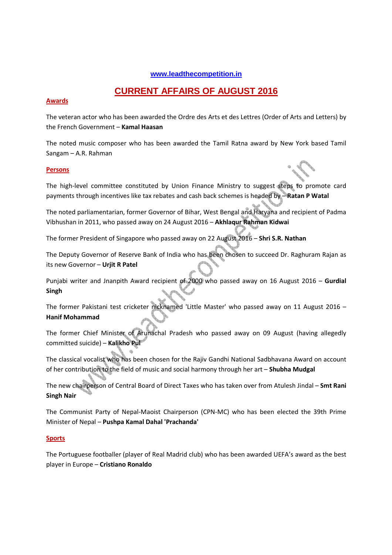## **www.leadthecompetition.in**

# **CURRENT AFFAIRS OF AUGUST 2016**

## **Awards**

The veteran actor who has been awarded the Ordre des Arts et des Lettres (Order of Arts and Letters) by the French Government – **Kamal Haasan** 

The noted music composer who has been awarded the Tamil Ratna award by New York based Tamil Sangam – A.R. Rahman

## **Persons**

The high-level committee constituted by Union Finance Ministry to suggest steps to promote card payments through incentives like tax rebates and cash back schemes is headed by – **Ratan P Watal**

The noted parliamentarian, former Governor of Bihar, West Bengal and Haryana and recipient of Padma Vibhushan in 2011, who passed away on 24 August 2016 – **Akhlaqur Rahman Kidwai**

The former President of Singapore who passed away on 22 August 2016 – **Shri S.R. Nathan**

The Deputy Governor of Reserve Bank of India who has been chosen to succeed Dr. Raghuram Rajan as its new Governor – **Urjit R Patel** 

Punjabi writer and Jnanpith Award recipient of 2000 who passed away on 16 August 2016 – **Gurdial Singh**

The former Pakistani test cricketer nicknamed 'Little Master' who passed away on 11 August 2016 – **Hanif Mohammad**

The former Chief Minister of Arunachal Pradesh who passed away on 09 August (having allegedly committed suicide) – **Kalikho Pul**

The classical vocalist who has been chosen for the Rajiv Gandhi National Sadbhavana Award on account of her contribution to the field of music and social harmony through her art – **Shubha Mudgal**

The new chairperson of Central Board of Direct Taxes who has taken over from Atulesh Jindal – **Smt Rani Singh Nair** 

The Communist Party of Nepal-Maoist Chairperson (CPN-MC) who has been elected the 39th Prime Minister of Nepal – **Pushpa Kamal Dahal 'Prachanda'**

## **Sports**

The Portuguese footballer (player of Real Madrid club) who has been awarded UEFA's award as the best player in Europe – **Cristiano Ronaldo**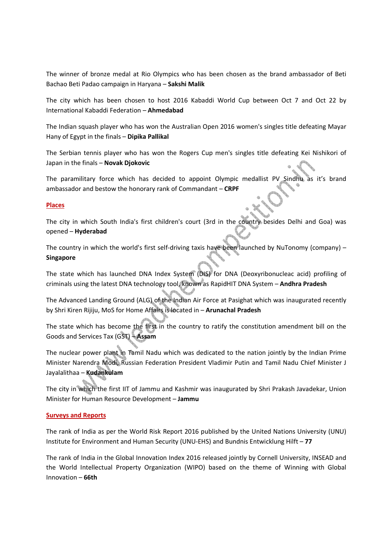The winner of bronze medal at Rio Olympics who has been chosen as the brand ambassador of Beti Bachao Beti Padao campaign in Haryana – **Sakshi Malik**

The city which has been chosen to host 2016 Kabaddi World Cup between Oct 7 and Oct 22 by International Kabaddi Federation – **Ahmedabad**

The Indian squash player who has won the Australian Open 2016 women's singles title defeating Mayar Hany of Egypt in the finals – **Dipika Pallikal**

The Serbian tennis player who has won the Rogers Cup men's singles title defeating Kei Nishikori of Japan in the finals – **Novak Djokovic**

The paramilitary force which has decided to appoint Olympic medallist PV Sindhu as it's brand ambassador and bestow the honorary rank of Commandant – **CRPF**

## **Places**

The city in which South India's first children's court (3rd in the country besides Delhi and Goa) was opened – **Hyderabad**

The country in which the world's first self-driving taxis have been launched by NuTonomy (company) – **Singapore**

The state which has launched DNA Index System (DIS) for DNA (Deoxyribonucleac acid) profiling of criminals using the latest DNA technology tool, known as RapidHIT DNA System – **Andhra Pradesh**

The Advanced Landing Ground (ALG) of the Indian Air Force at Pasighat which was inaugurated recently by Shri Kiren Rijiju, MoS for Home Affairs is located in – **Arunachal Pradesh**

The state which has become the first in the country to ratify the constitution amendment bill on the Goods and Services Tax (GST) – **Assam**

The nuclear power plant in Tamil Nadu which was dedicated to the nation jointly by the Indian Prime Minister Narendra Modi, Russian Federation President Vladimir Putin and Tamil Nadu Chief Minister J Jayalalithaa – **Kudankulam** 

The city in which the first IIT of Jammu and Kashmir was inaugurated by Shri Prakash Javadekar, Union Minister for Human Resource Development – **Jammu**

#### **Surveys and Reports**

The rank of India as per the World Risk Report 2016 published by the United Nations University (UNU) Institute for Environment and Human Security (UNU-EHS) and Bundnis Entwicklung Hilft – **77**

The rank of India in the Global Innovation Index 2016 released jointly by Cornell University, INSEAD and the World Intellectual Property Organization (WIPO) based on the theme of Winning with Global Innovation – **66th**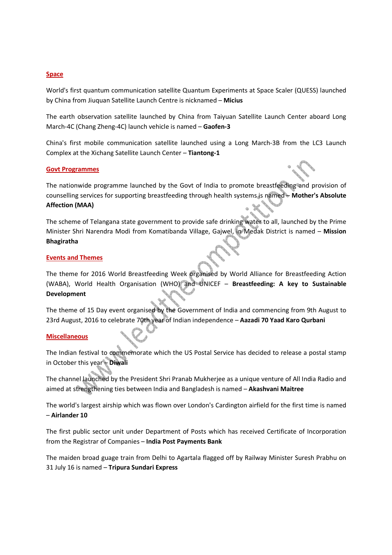## **Space**

World's first quantum communication satellite Quantum Experiments at Space Scaler (QUESS) launched by China from Jiuquan Satellite Launch Centre is nicknamed – **Micius**

The earth observation satellite launched by China from Taiyuan Satellite Launch Center aboard Long March-4C (Chang Zheng-4C) launch vehicle is named – **Gaofen-3**

China's first mobile communication satellite launched using a Long March-3B from the LC3 Launch Complex at the Xichang Satellite Launch Center – **Tiantong-1**

#### **Govt Programmes**

The nationwide programme launched by the Govt of India to promote breastfeeding and provision of counselling services for supporting breastfeeding through health systems is named – **Mother's Absolute Affection (MAA)** 

The scheme of Telangana state government to provide safe drinking water to all, launched by the Prime Minister Shri Narendra Modi from Komatibanda Village, Gajwel, in Medak District is named – **Mission Bhagiratha** 

## **Events and Themes**

The theme for 2016 World Breastfeeding Week organised by World Alliance for Breastfeeding Action (WABA), World Health Organisation (WHO) and UNICEF – **Breastfeeding: A key to Sustainable Development** 

The theme of 15 Day event organised by the Government of India and commencing from 9th August to 23rd August, 2016 to celebrate 70th year of Indian independence – **Aazadi 70 Yaad Karo Qurbani**

## **Miscellaneous**

The Indian festival to commemorate which the US Postal Service has decided to release a postal stamp in October this year – **Diwali**

The channel launched by the President Shri Pranab Mukherjee as a unique venture of All India Radio and aimed at strengthening ties between India and Bangladesh is named – **Akashvani Maitree**

The world's largest airship which was flown over London's Cardington airfield for the first time is named – **Airlander 10**

The first public sector unit under Department of Posts which has received Certificate of Incorporation from the Registrar of Companies – **India Post Payments Bank** 

The maiden broad guage train from Delhi to Agartala flagged off by Railway Minister Suresh Prabhu on 31 July 16 is named – **Tripura Sundari Express**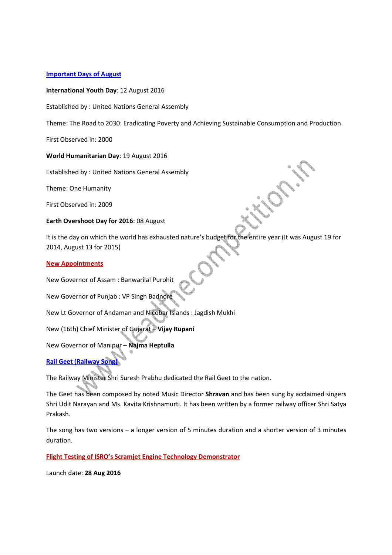## **Important Days of August**

## **International Youth Day**: 12 August 2016

Established by : United Nations General Assembly

Theme: The Road to 2030: Eradicating Poverty and Achieving Sustainable Consumption and Production

First Observed in: 2000

#### **World Humanitarian Day**: 19 August 2016

Established by : United Nations General Assembly

Theme: One Humanity

First Observed in: 2009

## **Earth Overshoot Day for 2016**: 08 August

It is the day on which the world has exhausted nature's budget for the entire year (It was August 19 for 2014, August 13 for 2015)

#### **New Appointments**

New Governor of Assam : Banwarilal Purohit

New Governor of Punjab : VP Singh Badnore

New Lt Governor of Andaman and Nicobar Islands : Jagdish Mukhi

New (16th) Chief Minister of Gujarat – **Vijay Rupani** 

New Governor of Manipur – **Najma Heptulla**

**Rail Geet (Railway Song)**

The Railway Minister Shri Suresh Prabhu dedicated the Rail Geet to the nation.

The Geet has been composed by noted Music Director **Shravan** and has been sung by acclaimed singers Shri Udit Narayan and Ms. Kavita Krishnamurti. It has been written by a former railway officer Shri Satya Prakash.

The song has two versions – a longer version of 5 minutes duration and a shorter version of 3 minutes duration.

**Flight Testing of ISRO's Scramjet Engine Technology Demonstrator**

Launch date: **28 Aug 2016**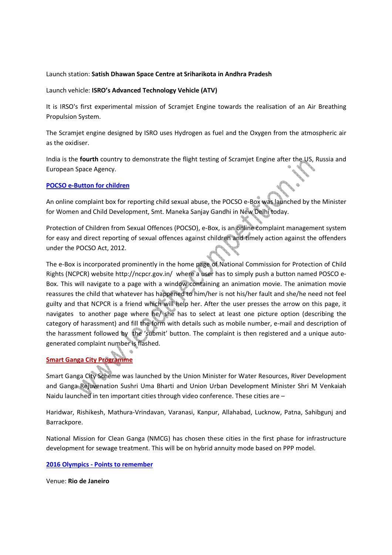## Launch station: **Satish Dhawan Space Centre at Sriharikota in Andhra Pradesh**

## Launch vehicle: **ISRO's Advanced Technology Vehicle (ATV)**

It is IRSO's first experimental mission of Scramjet Engine towards the realisation of an Air Breathing Propulsion System.

The Scramjet engine designed by ISRO uses Hydrogen as fuel and the Oxygen from the atmospheric air as the oxidiser.

India is the **fourth** country to demonstrate the flight testing of Scramjet Engine after the US, Russia and European Space Agency.

## **POCSO e-Button for children**

An online complaint box for reporting child sexual abuse, the POCSO e-Box was launched by the Minister for Women and Child Development, Smt. Maneka Sanjay Gandhi in New Delhi today.

Protection of Children from Sexual Offences (POCSO), e-Box, is an online complaint management system for easy and direct reporting of sexual offences against children and timely action against the offenders under the POCSO Act, 2012.

The e-Box is incorporated prominently in the home page of National Commission for Protection of Child Rights (NCPCR) website http://ncpcr.gov.in/ where a user has to simply push a button named POSCO e-Box. This will navigate to a page with a window containing an animation movie. The animation movie reassures the child that whatever has happened to him/her is not his/her fault and she/he need not feel guilty and that NCPCR is a friend which will help her. After the user presses the arrow on this page, it navigates to another page where he/ she has to select at least one picture option (describing the category of harassment) and fill the form with details such as mobile number, e-mail and description of the harassment followed by the 'submit' button. The complaint is then registered and a unique autogenerated complaint number is flashed.

# **Smart Ganga City Programme**

Smart Ganga City Scheme was launched by the Union Minister for Water Resources, River Development and Ganga Rejuvenation Sushri Uma Bharti and Union Urban Development Minister Shri M Venkaiah Naidu launched in ten important cities through video conference. These cities are –

Haridwar, Rishikesh, Mathura-Vrindavan, Varanasi, Kanpur, Allahabad, Lucknow, Patna, Sahibgunj and Barrackpore.

National Mission for Clean Ganga (NMCG) has chosen these cities in the first phase for infrastructure development for sewage treatment. This will be on hybrid annuity mode based on PPP model.

## **2016 Olympics - Points to remember**

Venue: **Rio de Janeiro**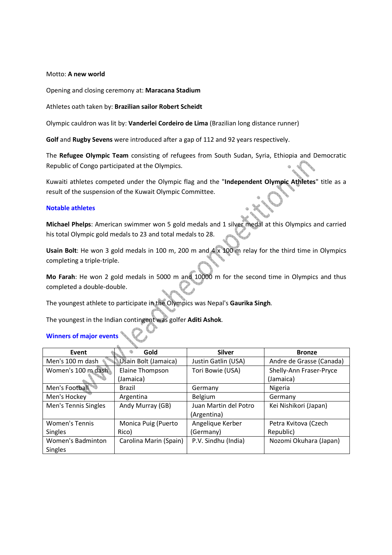## Motto: **A new world**

Opening and closing ceremony at: **Maracana Stadium**

Athletes oath taken by: **Brazilian sailor Robert Scheidt**

Olympic cauldron was lit by: **Vanderlei Cordeiro de Lima** (Brazilian long distance runner)

**Golf** and **Rugby Sevens** were introduced after a gap of 112 and 92 years respectively.

The **Refugee Olympic Team** consisting of refugees from South Sudan, Syria, Ethiopia and Democratic Republic of Congo participated at the Olympics.

Kuwaiti athletes competed under the Olympic flag and the "**Independent Olympic Athletes**" title as a result of the suspension of the Kuwait Olympic Committee.

#### **Notable athletes**

**Michael Phelps**: American swimmer won 5 gold medals and 1 silver medal at this Olympics and carried his total Olympic gold medals to 23 and total medals to 28.

**Usain Bolt**: He won 3 gold medals in 100 m, 200 m and 4 x 100 m relay for the third time in Olympics completing a triple-triple.

**Mo Farah**: He won 2 gold medals in 5000 m and 10000 m for the second time in Olympics and thus completed a double-double.

The youngest athlete to participate in the Olympics was Nepal's **Gaurika Singh**.

The youngest in the Indian contingent was golfer **Aditi Ashok**.

# **Winners of major events**

| Event                 | Gold                   | <b>Silver</b>         | <b>Bronze</b>            |
|-----------------------|------------------------|-----------------------|--------------------------|
| Men's 100 m dash      | Usain Bolt (Jamaica)   | Justin Gatlin (USA)   | Andre de Grasse (Canada) |
| Women's 100 m dash    | Elaine Thompson        | Tori Bowie (USA)      | Shelly-Ann Fraser-Pryce  |
|                       | (Jamaica)              |                       | (Jamaica)                |
| Men's Football        | <b>Brazil</b>          | Germany               | Nigeria                  |
| Men's Hockey          | Argentina              | Belgium               | Germany                  |
| Men's Tennis Singles  | Andy Murray (GB)       | Juan Martin del Potro | Kei Nishikori (Japan)    |
|                       |                        | (Argentina)           |                          |
| <b>Women's Tennis</b> | Monica Puig (Puerto    | Angelique Kerber      | Petra Kvitova (Czech     |
| <b>Singles</b>        | Rico)                  | (Germany)             | Republic)                |
| Women's Badminton     | Carolina Marin (Spain) | P.V. Sindhu (India)   | Nozomi Okuhara (Japan)   |
| <b>Singles</b>        |                        |                       |                          |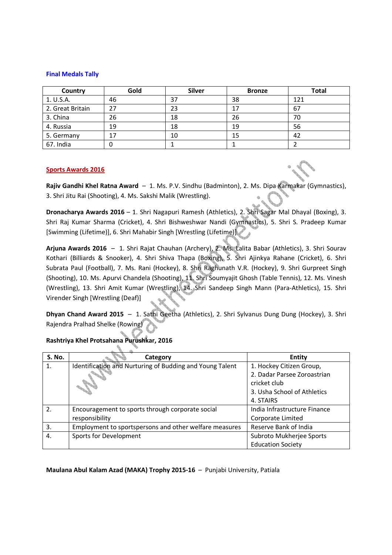#### **Final Medals Tally**

| Country          | Gold | <b>Silver</b> | <b>Bronze</b> | Total |
|------------------|------|---------------|---------------|-------|
| 1. U.S.A.        | 46   | 37            | 38            | 121   |
| 2. Great Britain | 27   | 23            | 17            | 67    |
| 3. China         | 26   | 18            | 26            | 70    |
| 4. Russia        | 19   | 18            | 19            | 56    |
| 5. Germany       | 17   | 10            | 15            | 42    |
| 67. India        | 0    |               |               |       |

#### **Sports Awards 2016**

**Rajiv Gandhi Khel Ratna Award** – 1. Ms. P.V. Sindhu (Badminton), 2. Ms. Dipa Karmakar (Gymnastics), 3. Shri Jitu Rai (Shooting), 4. Ms. Sakshi Malik (Wrestling).

**Dronacharya Awards 2016** – 1. Shri Nagapuri Ramesh (Athletics), 2. Shri Sagar Mal Dhayal (Boxing), 3. Shri Raj Kumar Sharma (Cricket), 4. Shri Bishweshwar Nandi (Gymnastics), 5. Shri S. Pradeep Kumar [Swimming (Lifetime)], 6. Shri Mahabir Singh [Wrestling (Lifetime)]

**Arjuna Awards 2016** – 1. Shri Rajat Chauhan (Archery), 2. Ms. Lalita Babar (Athletics), 3. Shri Sourav Kothari (Billiards & Snooker), 4. Shri Shiva Thapa (Boxing), 5. Shri Ajinkya Rahane (Cricket), 6. Shri Subrata Paul (Football), 7. Ms. Rani (Hockey), 8. Shri Raghunath V.R. (Hockey), 9. Shri Gurpreet Singh (Shooting), 10. Ms. Apurvi Chandela (Shooting), 11. Shri Soumyajit Ghosh (Table Tennis), 12. Ms. Vinesh (Wrestling), 13. Shri Amit Kumar (Wrestling), 14. Shri Sandeep Singh Mann (Para-Athletics), 15. Shri Virender Singh [Wrestling (Deaf)]

**Dhyan Chand Award 2015** – 1. Sathi Geetha (Athletics), 2. Shri Sylvanus Dung Dung (Hockey), 3. Shri Rajendra Pralhad Shelke (Rowing)

# **Rashtriya Khel Protsahana Purushkar, 2016**

| <b>S. No.</b> | Category                                                 | <b>Entity</b>                |
|---------------|----------------------------------------------------------|------------------------------|
| 1.            | Identification and Nurturing of Budding and Young Talent | 1. Hockey Citizen Group,     |
|               |                                                          | 2. Dadar Parsee Zoroastrian  |
|               |                                                          | cricket club                 |
|               |                                                          | 3. Usha School of Athletics  |
|               |                                                          | 4. STAIRS                    |
| 2.            | Encouragement to sports through corporate social         | India Infrastructure Finance |
|               | responsibility                                           | Corporate Limited            |
| 3.            | Employment to sportspersons and other welfare measures   | Reserve Bank of India        |
| 4.            | Sports for Development                                   | Subroto Mukherjee Sports     |
|               |                                                          | <b>Education Society</b>     |

#### **Maulana Abul Kalam Azad (MAKA) Trophy 2015-16** – Punjabi University, Patiala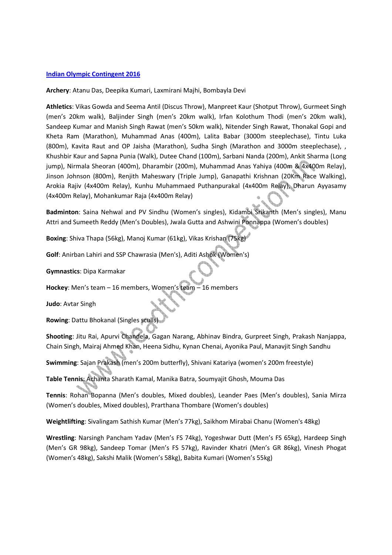## **Indian Olympic Contingent 2016**

**Archery**: Atanu Das, Deepika Kumari, Laxmirani Majhi, Bombayla Devi

**Athletics**: Vikas Gowda and Seema Antil (Discus Throw), Manpreet Kaur (Shotput Throw), Gurmeet Singh (men's 20km walk), Baljinder Singh (men's 20km walk), Irfan Kolothum Thodi (men's 20km walk), Sandeep Kumar and Manish Singh Rawat (men's 50km walk), Nitender Singh Rawat, Thonakal Gopi and Kheta Ram (Marathon), Muhammad Anas (400m), Lalita Babar (3000m steeplechase), Tintu Luka (800m), Kavita Raut and OP Jaisha (Marathon), Sudha Singh (Marathon and 3000m steeplechase), , Khushbir Kaur and Sapna Punia (Walk), Dutee Chand (100m), Sarbani Nanda (200m), Ankit Sharma (Long jump), Nirmala Sheoran (400m), Dharambir (200m), Muhammad Anas Yahiya (400m & 4x400m Relay), Jinson Johnson (800m), Renjith Maheswary (Triple Jump), Ganapathi Krishnan (20Km Race Walking), Arokia Rajiv (4x400m Relay), Kunhu Muhammaed Puthanpurakal (4x400m Relay), Dharun Ayyasamy (4x400m Relay), Mohankumar Raja (4x400m Relay)

**Badminton**: Saina Nehwal and PV Sindhu (Women's singles), Kidambi Srikanth (Men's singles), Manu Attri and Sumeeth Reddy (Men's Doubles), Jwala Gutta and Ashwini Ponnappa (Women's doubles)

**Boxing**: Shiva Thapa (56kg), Manoj Kumar (61kg), Vikas Krishan (75kg)

**Golf**: Anirban Lahiri and SSP Chawrasia (Men's), Aditi Ashok (Women's)

**Gymnastics**: Dipa Karmakar

**Hockey**: Men's team – 16 members, Women's team – 16 members

**Judo**: Avtar Singh

**Rowing**: Dattu Bhokanal (Singles sculls)

**Shooting**: Jitu Rai, Apurvi Chandela, Gagan Narang, Abhinav Bindra, Gurpreet Singh, Prakash Nanjappa, Chain Singh, Mairaj Ahmed Khan, Heena Sidhu, Kynan Chenai, Ayonika Paul, Manavjit Singh Sandhu

**Swimming**: Sajan Prakash (men's 200m butterfly), Shivani Katariya (women's 200m freestyle)

**Table Tennis**: Achanta Sharath Kamal, Manika Batra, Soumyajit Ghosh, Mouma Das

**Tennis**: Rohan Bopanna (Men's doubles, Mixed doubles), Leander Paes (Men's doubles), Sania Mirza (Women's doubles, Mixed doubles), Prarthana Thombare (Women's doubles)

**Weightlifting**: Sivalingam Sathish Kumar (Men's 77kg), Saikhom Mirabai Chanu (Women's 48kg)

**Wrestling**: Narsingh Pancham Yadav (Men's FS 74kg), Yogeshwar Dutt (Men's FS 65kg), Hardeep Singh (Men's GR 98kg), Sandeep Tomar (Men's FS 57kg), Ravinder Khatri (Men's GR 86kg), Vinesh Phogat (Women's 48kg), Sakshi Malik (Women's 58kg), Babita Kumari (Women's 55kg)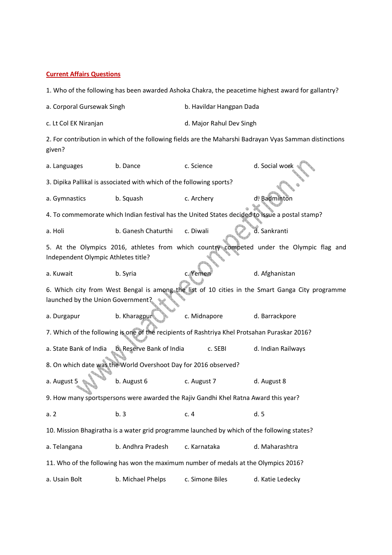#### **Current Affairs Questions**

1. Who of the following has been awarded Ashoka Chakra, the peacetime highest award for gallantry?

a. Corporal Gursewak Singh b. Havildar Hangpan Dada

c. Lt Col EK Niranjan d. Major Rahul Dev Singh

2. For contribution in which of the following fields are the Maharshi Badrayan Vyas Samman distinctions given?

a. Languages b. Dance c. Science d. Social work 3. Dipika Pallikal is associated with which of the following sports? a. Gymnastics b. Squash c. Archery d. Badminton 4. To commemorate which Indian festival has the United States decided to issue a postal stamp? a. Holi b. Ganesh Chaturthi c. Diwali d. Sankranti 5. At the Olympics 2016, athletes from which country competed under the Olympic flag and Independent Olympic Athletes title? a. Kuwait b. Syria c. Yemen d. Afghanistan 6. Which city from West Bengal is among the list of 10 cities in the Smart Ganga City programme launched by the Union Government? a. Durgapur b. Kharagpur c. Midnapore d. Barrackpore 7. Which of the following is one of the recipients of Rashtriya Khel Protsahan Puraskar 2016? a. State Bank of India b. Reserve Bank of India c. SEBI d. Indian Railways 8. On which date was the World Overshoot Day for 2016 observed? a. August 5 b. August 6 c. August 7 d. August 8 9. How many sportspersons were awarded the Rajiv Gandhi Khel Ratna Award this year? a. 2 b. 3 c. 4 d. 5 10. Mission Bhagiratha is a water grid programme launched by which of the following states? a. Telangana b. Andhra Pradesh c. Karnataka d. Maharashtra 11. Who of the following has won the maximum number of medals at the Olympics 2016? a. Usain Bolt b. Michael Phelps c. Simone Biles d. Katie Ledecky